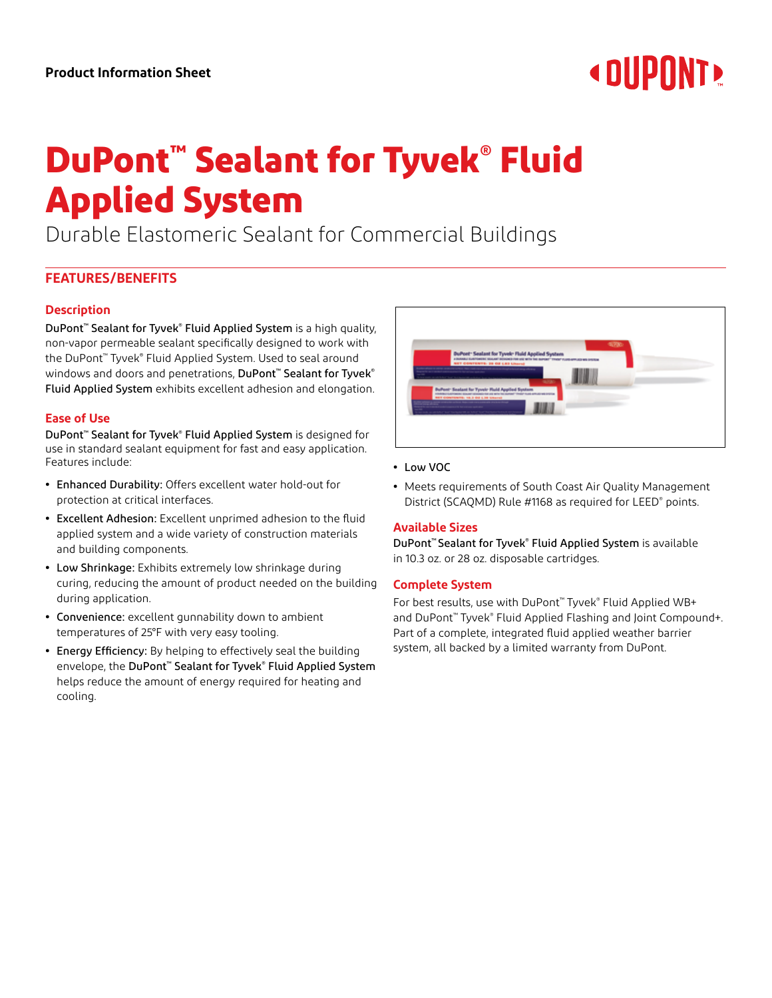# **« DUPONT!**

# **DuPont™ Sealant for Tyvek® Fluid Applied System**

Durable Elastomeric Sealant for Commercial Buildings

# **FEATURES/BENEFITS**

# **Description**

DuPont™ Sealant for Tyvek® Fluid Applied System is a high quality, non-vapor permeable sealant specifically designed to work with the DuPont™ Tyvek® Fluid Applied System. Used to seal around windows and doors and penetrations, DuPont™ Sealant for Tyvek® Fluid Applied System exhibits excellent adhesion and elongation.

# **Ease of Use**

DuPont™ Sealant for Tyvek® Fluid Applied System is designed for use in standard sealant equipment for fast and easy application. Features include:

- **•** Enhanced Durability: Offers excellent water hold-out for protection at critical interfaces.
- **•** Excellent Adhesion: Excellent unprimed adhesion to the fluid applied system and a wide variety of construction materials and building components.
- **•** Low Shrinkage: Exhibits extremely low shrinkage during curing, reducing the amount of product needed on the building during application.
- **•** Convenience: excellent gunnability down to ambient temperatures of 25°F with very easy tooling.
- **•** Energy Efficiency: By helping to effectively seal the building envelope, the **DuPont™ Sealant for Tyvek® Fluid Applied System** helps reduce the amount of energy required for heating and cooling.



## **•** Low VOC

**•** Meets requirements of South Coast Air Quality Management District (SCAQMD) Rule #1168 as required for LEED® points.

# **Available Sizes**

DuPont™ Sealant for Tyvek® Fluid Applied System is available in 10.3 oz. or 28 oz. disposable cartridges.

## **Complete System**

For best results, use with DuPont™ Tyvek® Fluid Applied WB+ and DuPont™ Tyvek® Fluid Applied Flashing and Joint Compound+. Part of a complete, integrated fluid applied weather barrier system, all backed by a limited warranty from DuPont.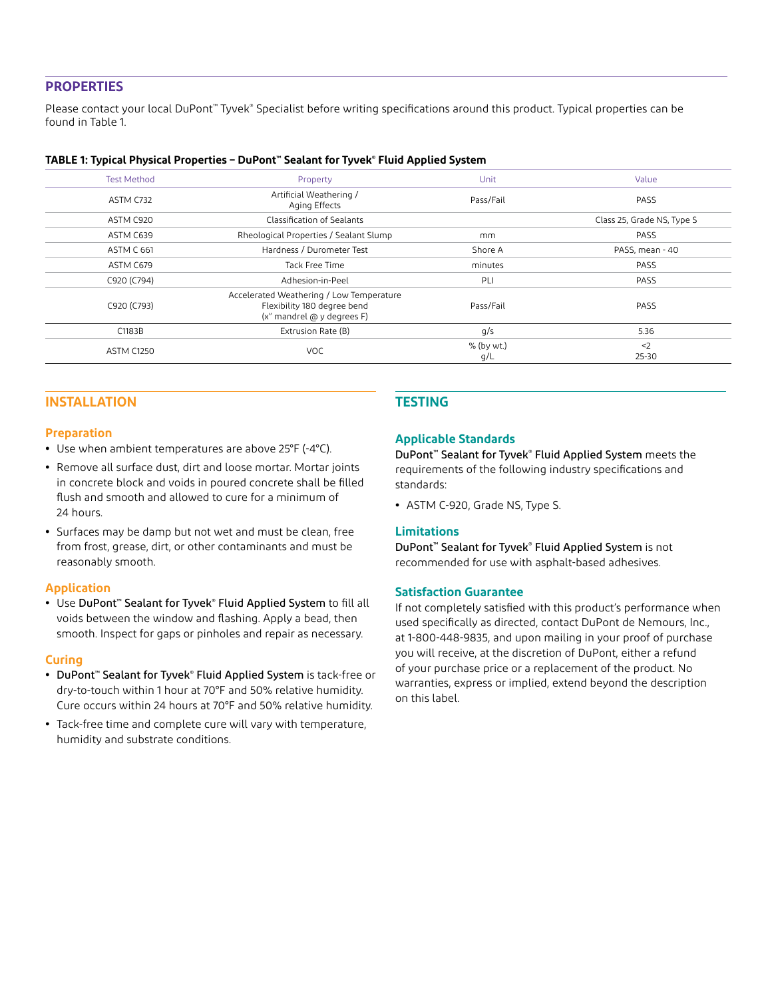# **PROPERTIES**

Please contact your local DuPont™ Tyvek® Specialist before writing specifications around this product. Typical properties can be found in Table 1.

#### **TABLE 1: Typical Physical Properties – DuPont™ Sealant for Tyvek® Fluid Applied System**

| <b>Test Method</b> | Property                                                                                              | Unit              | Value                      |
|--------------------|-------------------------------------------------------------------------------------------------------|-------------------|----------------------------|
| ASTM C732          | Artificial Weathering /<br>Aging Effects                                                              | Pass/Fail         | PASS                       |
| ASTM C920          | Classification of Sealants                                                                            |                   | Class 25, Grade NS, Type S |
| ASTM C639          | Rheological Properties / Sealant Slump                                                                | mm                | PASS                       |
| ASTM C 661         | Hardness / Durometer Test                                                                             | Shore A           | PASS, mean - 40            |
| ASTM C679          | Tack Free Time                                                                                        | minutes           | PASS                       |
| C920 (C794)        | Adhesion-in-Peel                                                                                      | PLI               | PASS                       |
| C920 (C793)        | Accelerated Weathering / Low Temperature<br>Flexibility 180 degree bend<br>(x" mandrel @ y degrees F) | Pass/Fail         | PASS                       |
| C1183B             | Extrusion Rate (B)                                                                                    | q/s               | 5.36                       |
| <b>ASTM C1250</b>  | <b>VOC</b>                                                                                            | % (by wt.)<br>q/L | $2$<br>25-30               |

# **INSTALLATION**

#### **Preparation**

- **•** Use when ambient temperatures are above 25°F (-4°C).
- **•** Remove all surface dust, dirt and loose mortar. Mortar joints in concrete block and voids in poured concrete shall be filled flush and smooth and allowed to cure for a minimum of 24 hours.
- **•** Surfaces may be damp but not wet and must be clean, free from frost, grease, dirt, or other contaminants and must be reasonably smooth.

#### **Application**

**•** Use DuPont™ Sealant for Tyvek® Fluid Applied System to fill all voids between the window and flashing. Apply a bead, then smooth. Inspect for gaps or pinholes and repair as necessary.

#### **Curing**

- **•** DuPont™ Sealant for Tyvek® Fluid Applied System is tack-free or dry-to-touch within 1 hour at 70°F and 50% relative humidity. Cure occurs within 24 hours at 70°F and 50% relative humidity.
- **•** Tack-free time and complete cure will vary with temperature, humidity and substrate conditions.

# **TESTING**

#### **Applicable Standards**

DuPont™ Sealant for Tyvek® Fluid Applied System meets the requirements of the following industry specifications and standards:

**•** ASTM C-920, Grade NS, Type S.

## **Limitations**

DuPont™ Sealant for Tyvek® Fluid Applied System is not recommended for use with asphalt-based adhesives.

#### **Satisfaction Guarantee**

If not completely satisfied with this product's performance when used specifically as directed, contact DuPont de Nemours, Inc., at 1-800-448-9835, and upon mailing in your proof of purchase you will receive, at the discretion of DuPont, either a refund of your purchase price or a replacement of the product. No warranties, express or implied, extend beyond the description on this label.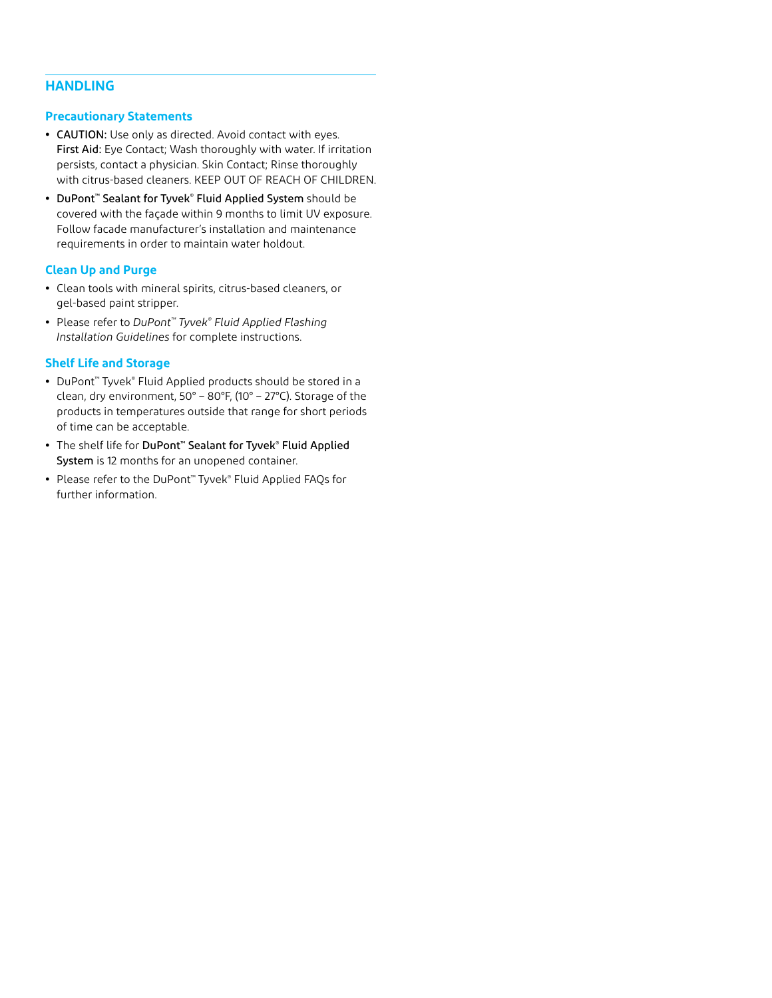# **HANDLING**

#### **Precautionary Statements**

- **•** CAUTION: Use only as directed. Avoid contact with eyes. First Aid: Eye Contact; Wash thoroughly with water. If irritation persists, contact a physician. Skin Contact; Rinse thoroughly with citrus-based cleaners. KEEP OUT OF REACH OF CHILDREN.
- **•** DuPont™ Sealant for Tyvek® Fluid Applied System should be covered with the façade within 9 months to limit UV exposure. Follow facade manufacturer's installation and maintenance requirements in order to maintain water holdout.

## **Clean Up and Purge**

- **•** Clean tools with mineral spirits, citrus-based cleaners, or gel-based paint stripper.
- **•** Please refer to *DuPont™ Tyvek® Fluid Applied Flashing Installation Guidelines* for complete instructions.

# **Shelf Life and Storage**

- **•** DuPont™ Tyvek® Fluid Applied products should be stored in a clean, dry environment, 50° – 80°F, (10° – 27°C). Storage of the products in temperatures outside that range for short periods of time can be acceptable.
- **•** The shelf life for DuPont™ Sealant for Tyvek® Fluid Applied System is 12 months for an unopened container.
- **•** Please refer to the DuPont™ Tyvek® Fluid Applied FAQs for further information.